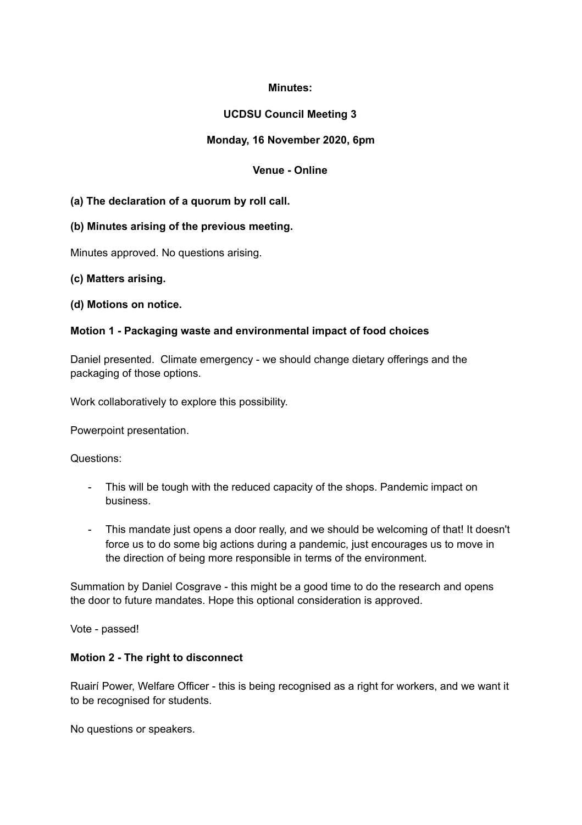## **Minutes:**

# **UCDSU Council Meeting 3**

## **Monday, 16 November 2020, 6pm**

# **Venue - Online**

## **(a) The declaration of a quorum by roll call.**

## **(b) Minutes arising of the previous meeting.**

Minutes approved. No questions arising.

### **(c) Matters arising.**

### **(d) Motions on notice.**

## **Motion 1 - Packaging waste and environmental impact of food choices**

Daniel presented. Climate emergency - we should change dietary offerings and the packaging of those options.

Work collaboratively to explore this possibility.

Powerpoint presentation.

Questions:

- This will be tough with the reduced capacity of the shops. Pandemic impact on business.
- This mandate just opens a door really, and we should be welcoming of that! It doesn't force us to do some big actions during a pandemic, just encourages us to move in the direction of being more responsible in terms of the environment.

Summation by Daniel Cosgrave - this might be a good time to do the research and opens the door to future mandates. Hope this optional consideration is approved.

Vote - passed!

## **Motion 2 - The right to disconnect**

Ruairí Power, Welfare Officer - this is being recognised as a right for workers, and we want it to be recognised for students.

No questions or speakers.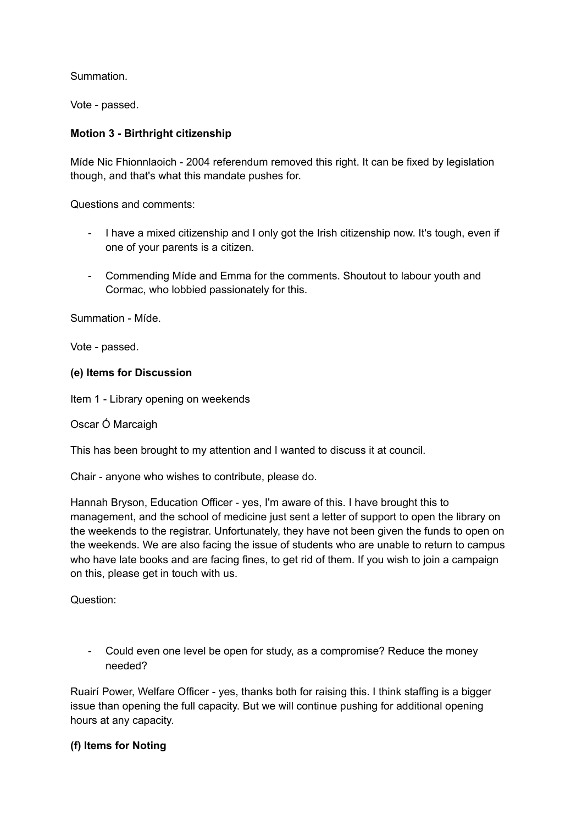Summation.

Vote - passed.

## **Motion 3 - Birthright citizenship**

Míde Nic Fhionnlaoich - 2004 referendum removed this right. It can be fixed by legislation though, and that's what this mandate pushes for.

Questions and comments:

- I have a mixed citizenship and I only got the Irish citizenship now. It's tough, even if one of your parents is a citizen.
- Commending Míde and Emma for the comments. Shoutout to labour youth and Cormac, who lobbied passionately for this.

Summation - Míde.

Vote - passed.

### **(e) Items for Discussion**

Item 1 - Library opening on weekends

Oscar Ó Marcaigh

This has been brought to my attention and I wanted to discuss it at council.

Chair - anyone who wishes to contribute, please do.

Hannah Bryson, Education Officer - yes, I'm aware of this. I have brought this to management, and the school of medicine just sent a letter of support to open the library on the weekends to the registrar. Unfortunately, they have not been given the funds to open on the weekends. We are also facing the issue of students who are unable to return to campus who have late books and are facing fines, to get rid of them. If you wish to join a campaign on this, please get in touch with us.

Question:

- Could even one level be open for study, as a compromise? Reduce the money needed?

Ruairí Power, Welfare Officer - yes, thanks both for raising this. I think staffing is a bigger issue than opening the full capacity. But we will continue pushing for additional opening hours at any capacity.

## **(f) Items for Noting**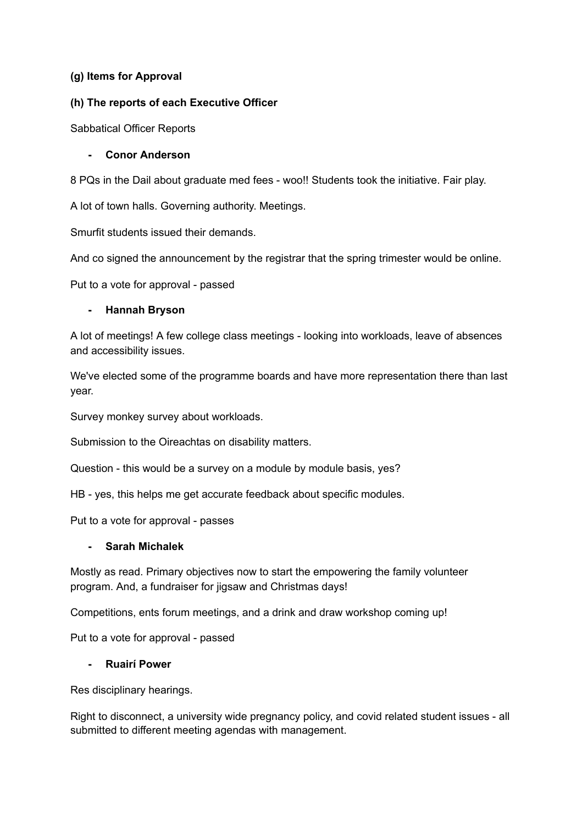### **(g) Items for Approval**

### **(h) The reports of each Executive Officer**

Sabbatical Officer Reports

### **- Conor Anderson**

8 PQs in the Dail about graduate med fees - woo!! Students took the initiative. Fair play.

A lot of town halls. Governing authority. Meetings.

Smurfit students issued their demands.

And co signed the announcement by the registrar that the spring trimester would be online.

Put to a vote for approval - passed

### **- Hannah Bryson**

A lot of meetings! A few college class meetings - looking into workloads, leave of absences and accessibility issues.

We've elected some of the programme boards and have more representation there than last year.

Survey monkey survey about workloads.

Submission to the Oireachtas on disability matters.

Question - this would be a survey on a module by module basis, yes?

HB - yes, this helps me get accurate feedback about specific modules.

Put to a vote for approval - passes

### **- Sarah Michalek**

Mostly as read. Primary objectives now to start the empowering the family volunteer program. And, a fundraiser for jigsaw and Christmas days!

Competitions, ents forum meetings, and a drink and draw workshop coming up!

Put to a vote for approval - passed

### **- Ruairí Power**

Res disciplinary hearings.

Right to disconnect, a university wide pregnancy policy, and covid related student issues - all submitted to different meeting agendas with management.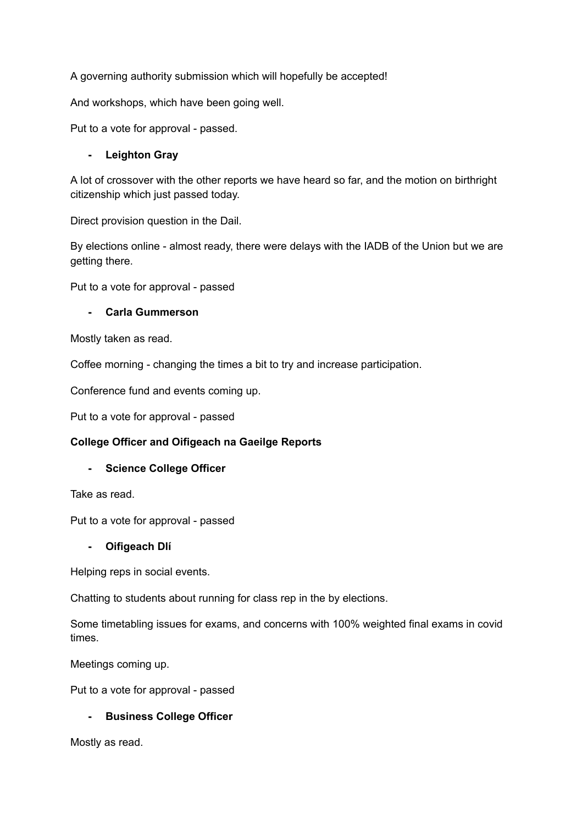A governing authority submission which will hopefully be accepted!

And workshops, which have been going well.

Put to a vote for approval - passed.

### **- Leighton Gray**

A lot of crossover with the other reports we have heard so far, and the motion on birthright citizenship which just passed today.

Direct provision question in the Dail.

By elections online - almost ready, there were delays with the IADB of the Union but we are getting there.

Put to a vote for approval - passed

### **- Carla Gummerson**

Mostly taken as read.

Coffee morning - changing the times a bit to try and increase participation.

Conference fund and events coming up.

Put to a vote for approval - passed

## **College Officer and Oifigeach na Gaeilge Reports**

### **- Science College Officer**

Take as read.

Put to a vote for approval - passed

### **- Oifigeach Dlí**

Helping reps in social events.

Chatting to students about running for class rep in the by elections.

Some timetabling issues for exams, and concerns with 100% weighted final exams in covid times.

Meetings coming up.

Put to a vote for approval - passed

### **- Business College Officer**

Mostly as read.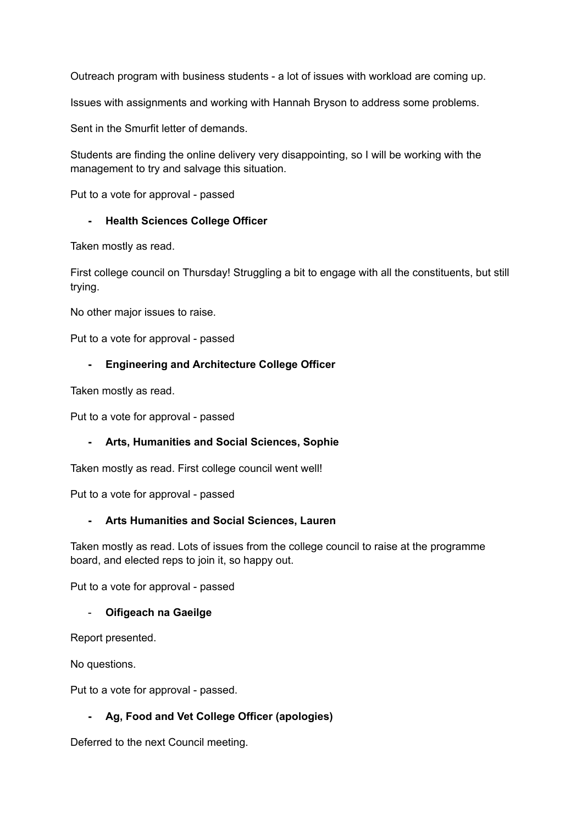Outreach program with business students - a lot of issues with workload are coming up.

Issues with assignments and working with Hannah Bryson to address some problems.

Sent in the Smurfit letter of demands.

Students are finding the online delivery very disappointing, so I will be working with the management to try and salvage this situation.

Put to a vote for approval - passed

### **- Health Sciences College Officer**

Taken mostly as read.

First college council on Thursday! Struggling a bit to engage with all the constituents, but still trying.

No other major issues to raise.

Put to a vote for approval - passed

### **- Engineering and Architecture College Officer**

Taken mostly as read.

Put to a vote for approval - passed

### **- Arts, Humanities and Social Sciences, Sophie**

Taken mostly as read. First college council went well!

Put to a vote for approval - passed

### **- Arts Humanities and Social Sciences, Lauren**

Taken mostly as read. Lots of issues from the college council to raise at the programme board, and elected reps to join it, so happy out.

Put to a vote for approval - passed

### - **Oifigeach na Gaeilge**

Report presented.

No questions.

Put to a vote for approval - passed.

## **- Ag, Food and Vet College Officer (apologies)**

Deferred to the next Council meeting.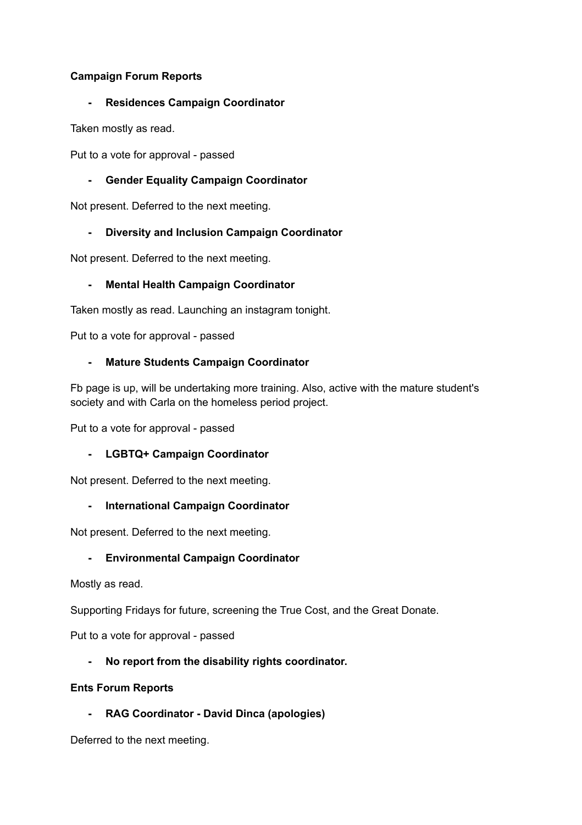## **Campaign Forum Reports**

### **- Residences Campaign Coordinator**

Taken mostly as read.

Put to a vote for approval - passed

## **- Gender Equality Campaign Coordinator**

Not present. Deferred to the next meeting.

# **- Diversity and Inclusion Campaign Coordinator**

Not present. Deferred to the next meeting.

## **- Mental Health Campaign Coordinator**

Taken mostly as read. Launching an instagram tonight.

Put to a vote for approval - passed

## **- Mature Students Campaign Coordinator**

Fb page is up, will be undertaking more training. Also, active with the mature student's society and with Carla on the homeless period project.

Put to a vote for approval - passed

## **- LGBTQ+ Campaign Coordinator**

Not present. Deferred to the next meeting.

## **- International Campaign Coordinator**

Not present. Deferred to the next meeting.

## **- Environmental Campaign Coordinator**

Mostly as read.

Supporting Fridays for future, screening the True Cost, and the Great Donate.

Put to a vote for approval - passed

## **- No report from the disability rights coordinator.**

### **Ents Forum Reports**

**- RAG Coordinator - David Dinca (apologies)**

Deferred to the next meeting.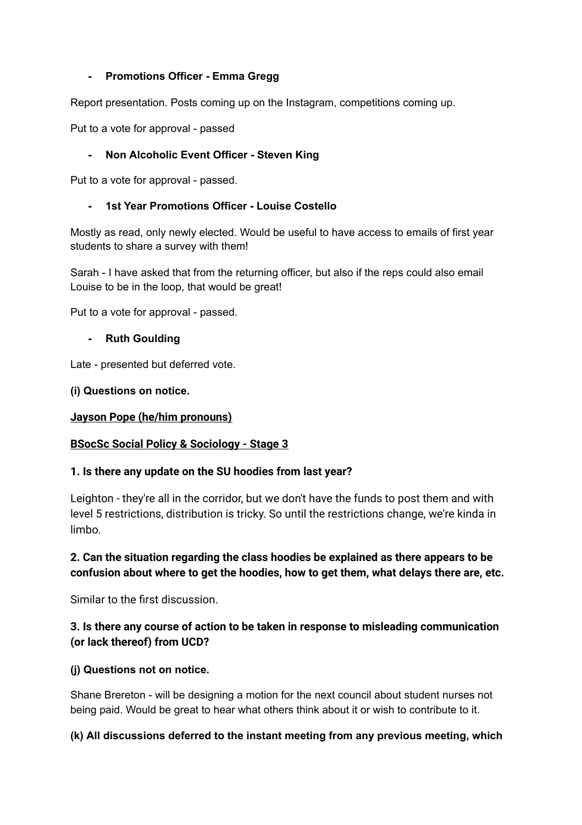### **- Promotions Officer - Emma Gregg**

Report presentation. Posts coming up on the Instagram, competitions coming up.

Put to a vote for approval - passed

## **- Non Alcoholic Event Officer - Steven King**

Put to a vote for approval - passed.

### **- 1st Year Promotions Officer - Louise Costello**

Mostly as read, only newly elected. Would be useful to have access to emails of first year students to share a survey with them!

Sarah - I have asked that from the returning officer, but also if the reps could also email Louise to be in the loop, that would be great!

Put to a vote for approval - passed.

### **- Ruth Goulding**

Late - presented but deferred vote.

### **(i) Questions on notice.**

### **Jayson Pope (he/him pronouns)**

## **BSocSc Social Policy & Sociology - Stage 3**

## **1. Is there any update on the SU hoodies from last year?**

Leighton - they're all in the corridor, but we don't have the funds to post them and with level 5 restrictions, distribution is tricky. So until the restrictions change, we're kinda in limbo.

# **2. Can the situation regarding the class hoodies be explained as there appears to be confusion about where to get the hoodies, how to get them, what delays there are, etc.**

Similar to the first discussion.

# **3. Is there any course of action to be taken in response to misleading communication (or lack thereof) from UCD?**

## **(j) Questions not on notice.**

Shane Brereton - will be designing a motion for the next council about student nurses not being paid. Would be great to hear what others think about it or wish to contribute to it.

## **(k) All discussions deferred to the instant meeting from any previous meeting, which**